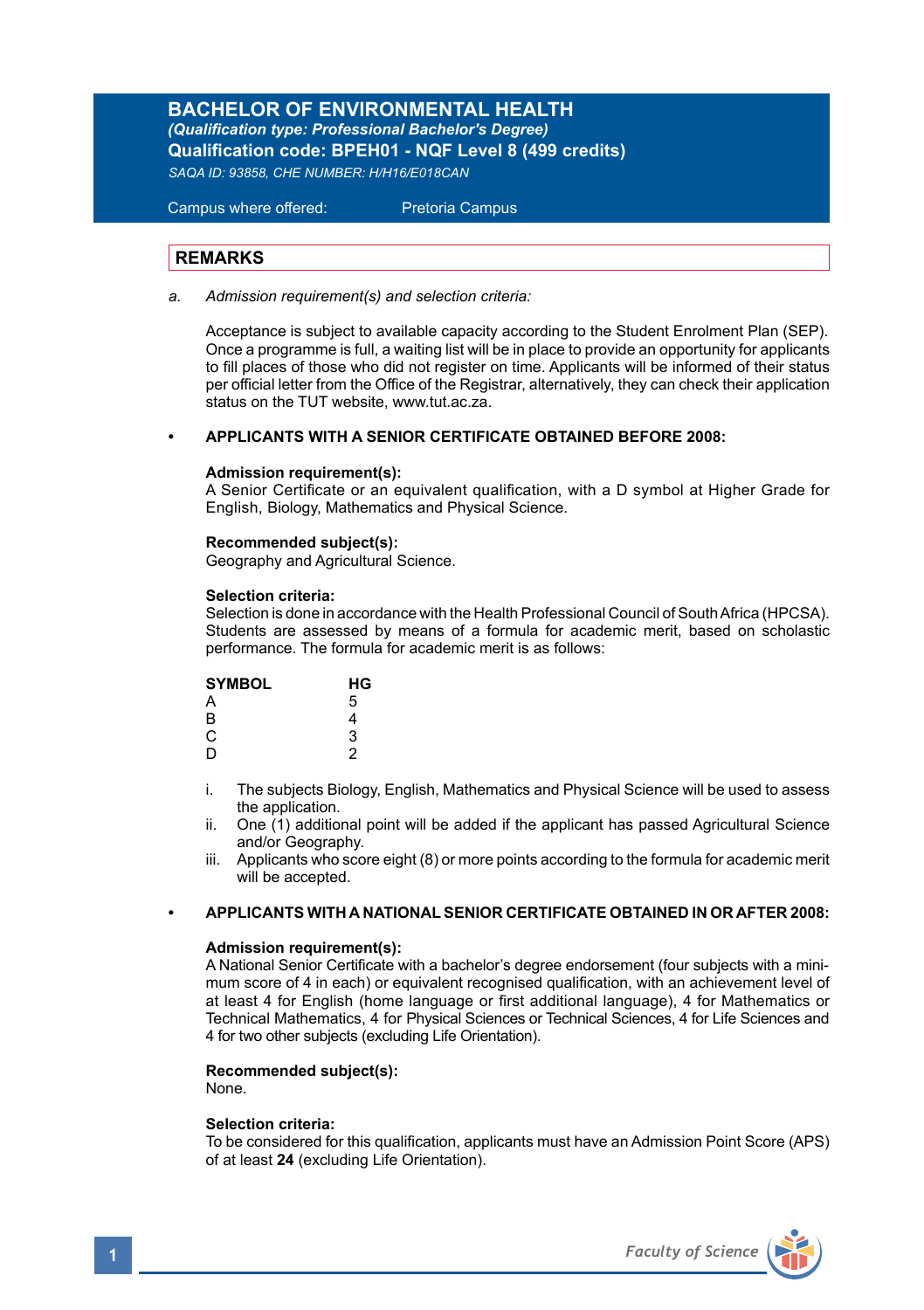**BACHELOR OF ENVIRONMENTAL HEALTH** *(Qualification type: Professional Bachelor's Degree)* **Qualification code: BPEH01 - NQF Level 8 (499 credits)** *SAQA ID: 93858, CHE NUMBER: H/H16/E018CAN*

Campus where offered: Pretoria Campus

# **REMARKS**

*a. Admission requirement(s) and selection criteria:*

 Acceptance is subject to available capacity according to the Student Enrolment Plan (SEP). Once a programme is full, a waiting list will be in place to provide an opportunity for applicants to fill places of those who did not register on time. Applicants will be informed of their status per official letter from the Office of the Registrar, alternatively, they can check their application status on the TUT website, www.tut.ac.za.

### **• APPLICANTS WITH A SENIOR CERTIFICATE OBTAINED BEFORE 2008:**

### **Admission requirement(s):**

A Senior Certificate or an equivalent qualification, with a D symbol at Higher Grade for English, Biology, Mathematics and Physical Science.

# **Recommended subject(s):**

Geography and Agricultural Science.

### **Selection criteria:**

Selection is done in accordance with the Health Professional Council of South Africa (HPCSA). Students are assessed by means of a formula for academic merit, based on scholastic performance. The formula for academic merit is as follows:

| <b>SYMBOL</b> | HG |
|---------------|----|
| A             | 5  |
| B             | 4  |
| C             | 3  |
| D             | 2  |

- i. The subjects Biology, English, Mathematics and Physical Science will be used to assess the application
- ii. One  $(1)$  additional point will be added if the applicant has passed Agricultural Science and/or Geography.
- iii. Applicants who score eight (8) or more points according to the formula for academic merit will be accepted.

# **• APPLICANTS WITH A NATIONAL SENIOR CERTIFICATE OBTAINED IN OR AFTER 2008:**

#### **Admission requirement(s):**

A National Senior Certificate with a bachelor's degree endorsement (four subjects with a minimum score of 4 in each) or equivalent recognised qualification, with an achievement level of at least 4 for English (home language or first additional language), 4 for Mathematics or Technical Mathematics, 4 for Physical Sciences or Technical Sciences, 4 for Life Sciences and 4 for two other subjects (excluding Life Orientation).

# **Recommended subject(s):**

None.

#### **Selection criteria:**

To be considered for this qualification, applicants must have an Admission Point Score (APS) of at least **24** (excluding Life Orientation).

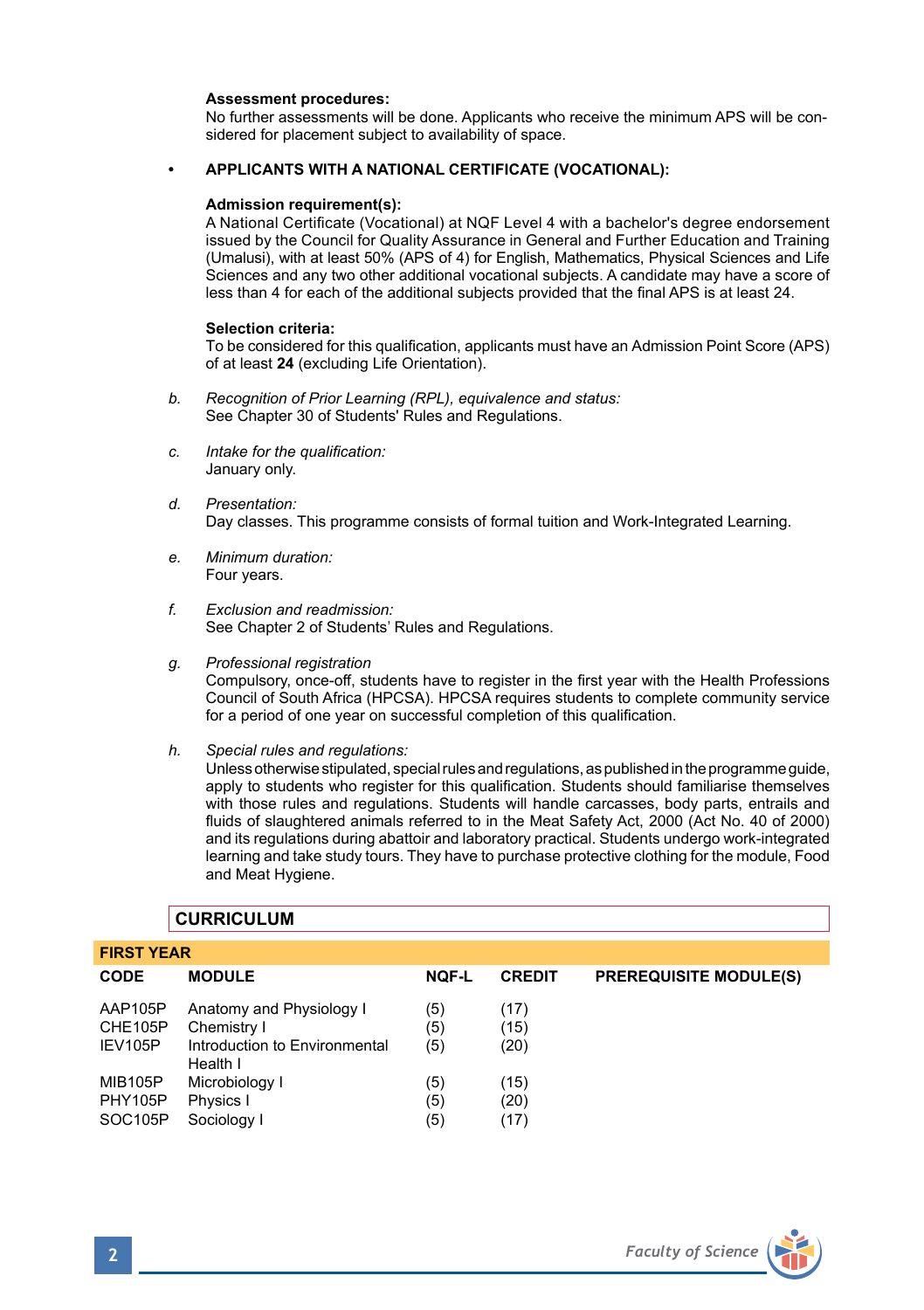### **Assessment procedures:**

No further assessments will be done. Applicants who receive the minimum APS will be considered for placement subject to availability of space.

### **• APPLICANTS WITH A NATIONAL CERTIFICATE (VOCATIONAL):**

#### **Admission requirement(s):**

A National Certificate (Vocational) at NQF Level 4 with a bachelor's degree endorsement issued by the Council for Quality Assurance in General and Further Education and Training (Umalusi), with at least 50% (APS of 4) for English, Mathematics, Physical Sciences and Life Sciences and any two other additional vocational subjects. A candidate may have a score of less than 4 for each of the additional subjects provided that the final APS is at least 24.

### **Selection criteria:**

To be considered for this qualification, applicants must have an Admission Point Score (APS) of at least **24** (excluding Life Orientation).

- *b. Recognition of Prior Learning (RPL), equivalence and status:* See Chapter 30 of Students' Rules and Regulations.
- *c. Intake for the qualification:* January only.
- *d. Presentation:*  Day classes. This programme consists of formal tuition and Work-Integrated Learning.
- *e. Minimum duration:* Four years.
- *f. Exclusion and readmission:* See Chapter 2 of Students' Rules and Regulations.
- *g. Professional registration* Compulsory, once-off, students have to register in the first year with the Health Professions Council of South Africa (HPCSA). HPCSA requires students to complete community service for a period of one year on successful completion of this qualification.
- *h. Special rules and regulations:*

Unless otherwise stipulated, special rules and regulations, as published in the programme guide, apply to students who register for this qualification. Students should familiarise themselves with those rules and regulations. Students will handle carcasses, body parts, entrails and fluids of slaughtered animals referred to in the Meat Safety Act, 2000 (Act No. 40 of 2000) and its regulations during abattoir and laboratory practical. Students undergo work-integrated learning and take study tours. They have to purchase protective clothing for the module, Food and Meat Hygiene.

| <b>FIRST YEAR</b>    |                                           |              |               |                               |  |
|----------------------|-------------------------------------------|--------------|---------------|-------------------------------|--|
| <b>CODE</b>          | <b>MODULE</b>                             | <b>NQF-L</b> | <b>CREDIT</b> | <b>PREREQUISITE MODULE(S)</b> |  |
| AAP105P              | Anatomy and Physiology I                  | (5)          | (17)          |                               |  |
| CHE105P              | Chemistry I                               | (5)          | (15)          |                               |  |
| IEV105P              | Introduction to Environmental<br>Health I | (5)          | (20)          |                               |  |
| <b>MIB105P</b>       | Microbiology I                            | (5)          | (15)          |                               |  |
| <b>PHY105P</b>       | Physics I                                 | (5)          | (20)          |                               |  |
| SOC <sub>105</sub> P | Sociology I                               | (5)          | (17)          |                               |  |

# **CURRICULUM**

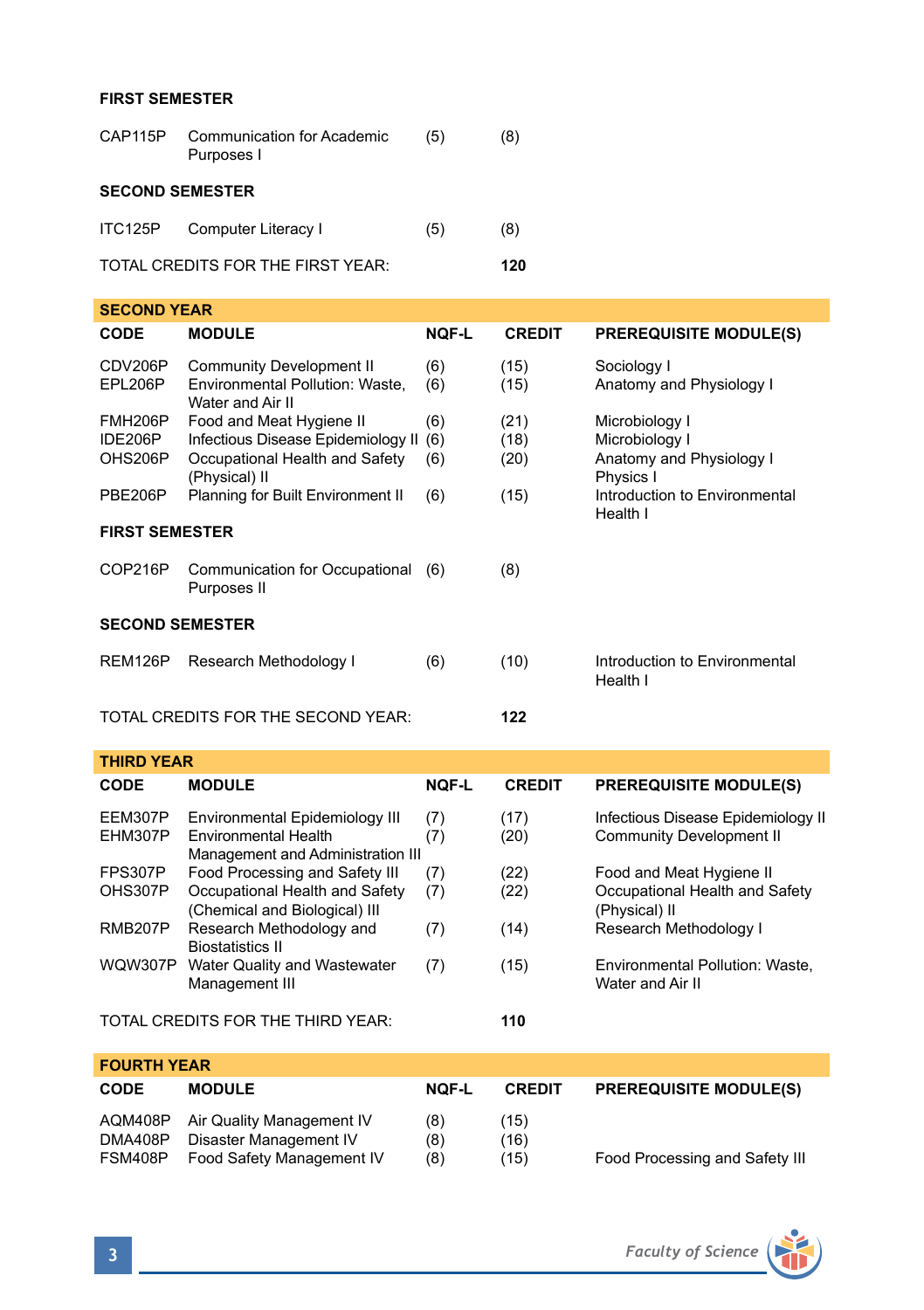# **FIRST SEMESTER**

| CAP115P                | <b>Communication for Academic</b><br>Purposes I | (5) | (8) |  |
|------------------------|-------------------------------------------------|-----|-----|--|
| <b>SECOND SEMESTER</b> |                                                 |     |     |  |
| ITC125P                | Computer Literacy I                             | (5) | (8) |  |
|                        | TOTAL CREDITS FOR THE FIRST YEAR:               |     | 120 |  |

| <b>SECOND YEAR</b>                         |                                                                                                                       |              |                      |                                                                           |  |  |
|--------------------------------------------|-----------------------------------------------------------------------------------------------------------------------|--------------|----------------------|---------------------------------------------------------------------------|--|--|
| <b>CODE</b>                                | <b>MODULE</b>                                                                                                         | <b>NQF-L</b> | <b>CREDIT</b>        | <b>PREREQUISITE MODULE(S)</b>                                             |  |  |
| CDV206P<br>EPL206P                         | <b>Community Development II</b><br>Environmental Pollution: Waste,<br>Water and Air II                                | (6)<br>(6)   | (15)<br>(15)         | Sociology I<br>Anatomy and Physiology I                                   |  |  |
| FMH <sub>206</sub> P<br>IDE206P<br>OHS206P | Food and Meat Hygiene II<br>Infectious Disease Epidemiology II (6)<br>Occupational Health and Safety<br>(Physical) II | (6)<br>(6)   | (21)<br>(18)<br>(20) | Microbiology I<br>Microbiology I<br>Anatomy and Physiology I<br>Physics I |  |  |
| PBE206P                                    | Planning for Built Environment II                                                                                     | (6)          | (15)                 | Introduction to Environmental<br>Health I                                 |  |  |
| <b>FIRST SEMESTER</b>                      |                                                                                                                       |              |                      |                                                                           |  |  |
| COP216P                                    | Communication for Occupational (6)<br>Purposes II                                                                     |              | (8)                  |                                                                           |  |  |
| <b>SECOND SEMESTER</b>                     |                                                                                                                       |              |                      |                                                                           |  |  |
| REM126P                                    | Research Methodology I                                                                                                | (6)          | (10)                 | Introduction to Environmental<br>Health I                                 |  |  |
|                                            | TOTAL CREDITS FOR THE SECOND YEAR:                                                                                    |              | 122                  |                                                                           |  |  |

| <b>THIRD YEAR</b>  |                                                                                                    |              |               |                                                                             |
|--------------------|----------------------------------------------------------------------------------------------------|--------------|---------------|-----------------------------------------------------------------------------|
| <b>CODE</b>        | <b>MODULE</b>                                                                                      | <b>NOF-L</b> | <b>CREDIT</b> | <b>PREREQUISITE MODULE(S)</b>                                               |
| EEM307P<br>EHM307P | Environmental Epidemiology III<br><b>Environmental Health</b><br>Management and Administration III | (7)<br>(7)   | (17)<br>(20)  | Infectious Disease Epidemiology II<br><b>Community Development II</b>       |
| FPS307P<br>OHS307P | Food Processing and Safety III<br>Occupational Health and Safety<br>(Chemical and Biological) III  | (7)<br>(7)   | (22)<br>(22)  | Food and Meat Hygiene II<br>Occupational Health and Safety<br>(Physical) II |
| <b>RMB207P</b>     | Research Methodology and<br><b>Biostatistics II</b>                                                | (7)          | (14)          | Research Methodology I                                                      |
| <b>WQW307P</b>     | Water Quality and Wastewater<br>Management III                                                     | (7)          | (15)          | Environmental Pollution: Waste,<br>Water and Air II                         |
|                    | TOTAL CREDITS FOR THE THIRD YEAR:                                                                  |              | 110           |                                                                             |
| <b>FOURTH YEAR</b> |                                                                                                    |              |               |                                                                             |
| <b>CODE</b>        | <b>MODULE</b>                                                                                      | <b>NOF-L</b> | <b>CREDIT</b> | <b>PREREQUISITE MODULE(S)</b>                                               |

|                                   | .   | ----- |                                |
|-----------------------------------|-----|-------|--------------------------------|
| AQM408P Air Quality Management IV | (8) | (15)  |                                |
| Disaster Management IV            | (8) | (16)  |                                |
| Food Safety Management IV         | (8) | (15)  | Food Processing and Safety III |
|                                   |     |       |                                |

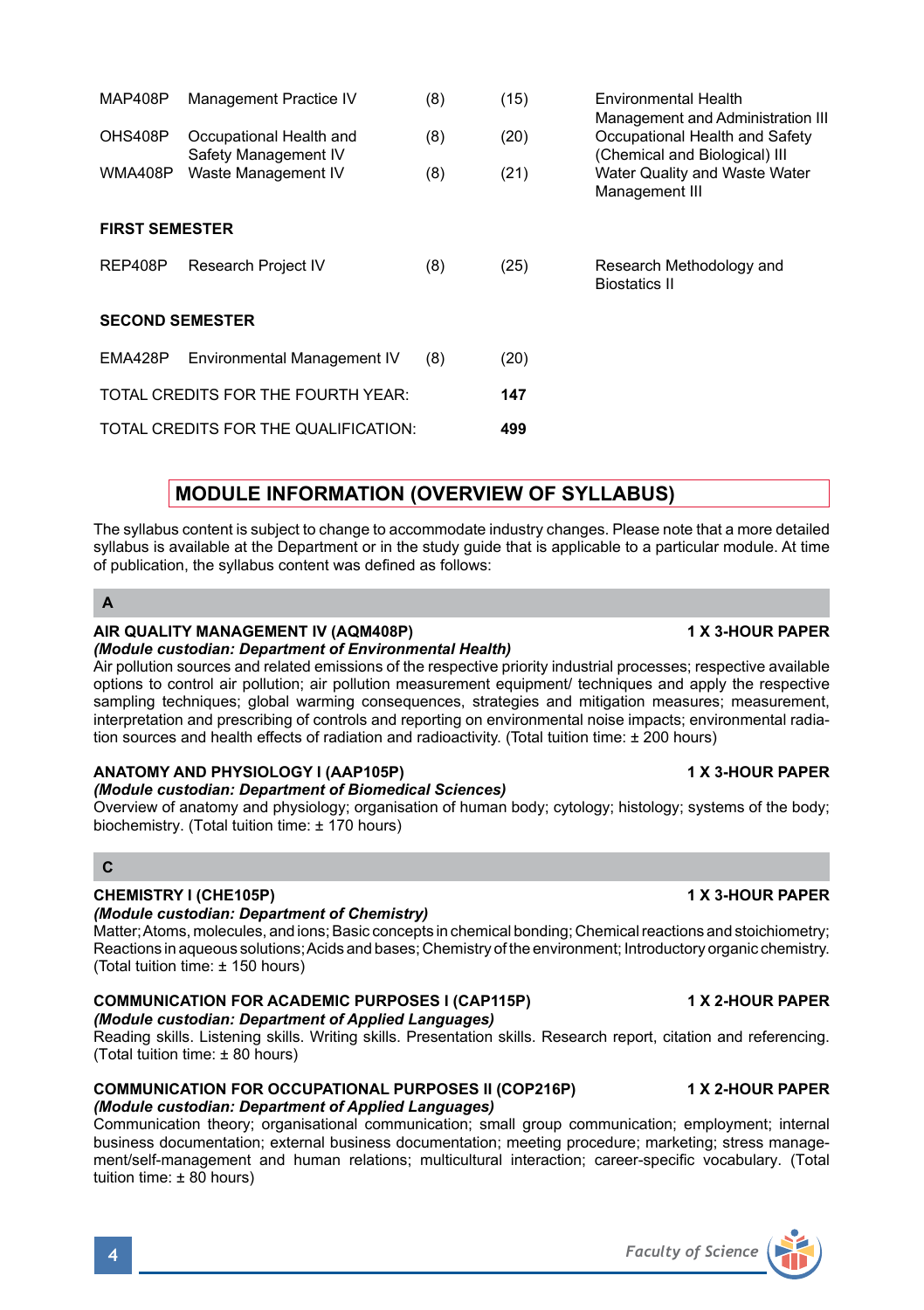# MAP408P Management Practice IV (8) (15) Environmental Health Management and Administration III<br>Occupational Health and (a) (20) Occupational Health and Safety OHS408P Occupational Health and (8) (20) Occupational Health and Safety<br>Safety Management IV (Chemical and Biological) III Safety Management IV (Shemical and Biological) III<br>
Waste Management IV (8) (21) Water Quality and Waste Wa WMA408P Waste Management IV (8) (21) Water Quality and Waste Water Management III **FIRST SEMESTER** REP408P Research Project IV (8) (25) Research Methodology and Biostatics II **SECOND SEMESTER** EMA428P Environmental Management IV (8) (20) TOTAL CREDITS FOR THE FOURTH YEAR: **147** TOTAL CREDITS FOR THE QUALIFICATION: **499**

# **MODULE INFORMATION (OVERVIEW OF SYLLABUS)**

The syllabus content is subject to change to accommodate industry changes. Please note that a more detailed syllabus is available at the Department or in the study guide that is applicable to a particular module. At time of publication, the syllabus content was defined as follows:

**A**

# **AIR QUALITY MANAGEMENT IV (AQM408P) 1 X 3-HOUR PAPER**

*(Module custodian: Department of Environmental Health)* Air pollution sources and related emissions of the respective priority industrial processes; respective available options to control air pollution; air pollution measurement equipment/ techniques and apply the respective sampling techniques; global warming consequences, strategies and mitigation measures; measurement, interpretation and prescribing of controls and reporting on environmental noise impacts; environmental radiation sources and health effects of radiation and radioactivity. (Total tuition time: ± 200 hours)

# **ANATOMY AND PHYSIOLOGY I (AAP105P) 1 X 3-HOUR PAPER**

# *(Module custodian: Department of Biomedical Sciences)*

Overview of anatomy and physiology; organisation of human body; cytology; histology; systems of the body; biochemistry. (Total tuition time: ± 170 hours)

# **C**

# **CHEMISTRY I (CHE105P) 1 X 3-HOUR PAPER**

# *(Module custodian: Department of Chemistry)*

Matter; Atoms, molecules, and ions; Basic concepts in chemical bonding; Chemical reactions and stoichiometry; Reactions in aqueous solutions; Acids and bases; Chemistry of the environment; Introductory organic chemistry. (Total tuition time: ± 150 hours)

#### **COMMUNICATION FOR ACADEMIC PURPOSES I (CAP115P) 1 X 2-HOUR PAPER** *(Module custodian: Department of Applied Languages)*

Reading skills. Listening skills. Writing skills. Presentation skills. Research report, citation and referencing. (Total tuition time: ± 80 hours)

# **COMMUNICATION FOR OCCUPATIONAL PURPOSES II (COP216P) 1 X 2-HOUR PAPER** *(Module custodian: Department of Applied Languages)*

Communication theory; organisational communication; small group communication; employment; internal business documentation; external business documentation; meeting procedure; marketing; stress management/self-management and human relations; multicultural interaction; career-specific vocabulary. (Total tuition time: ± 80 hours)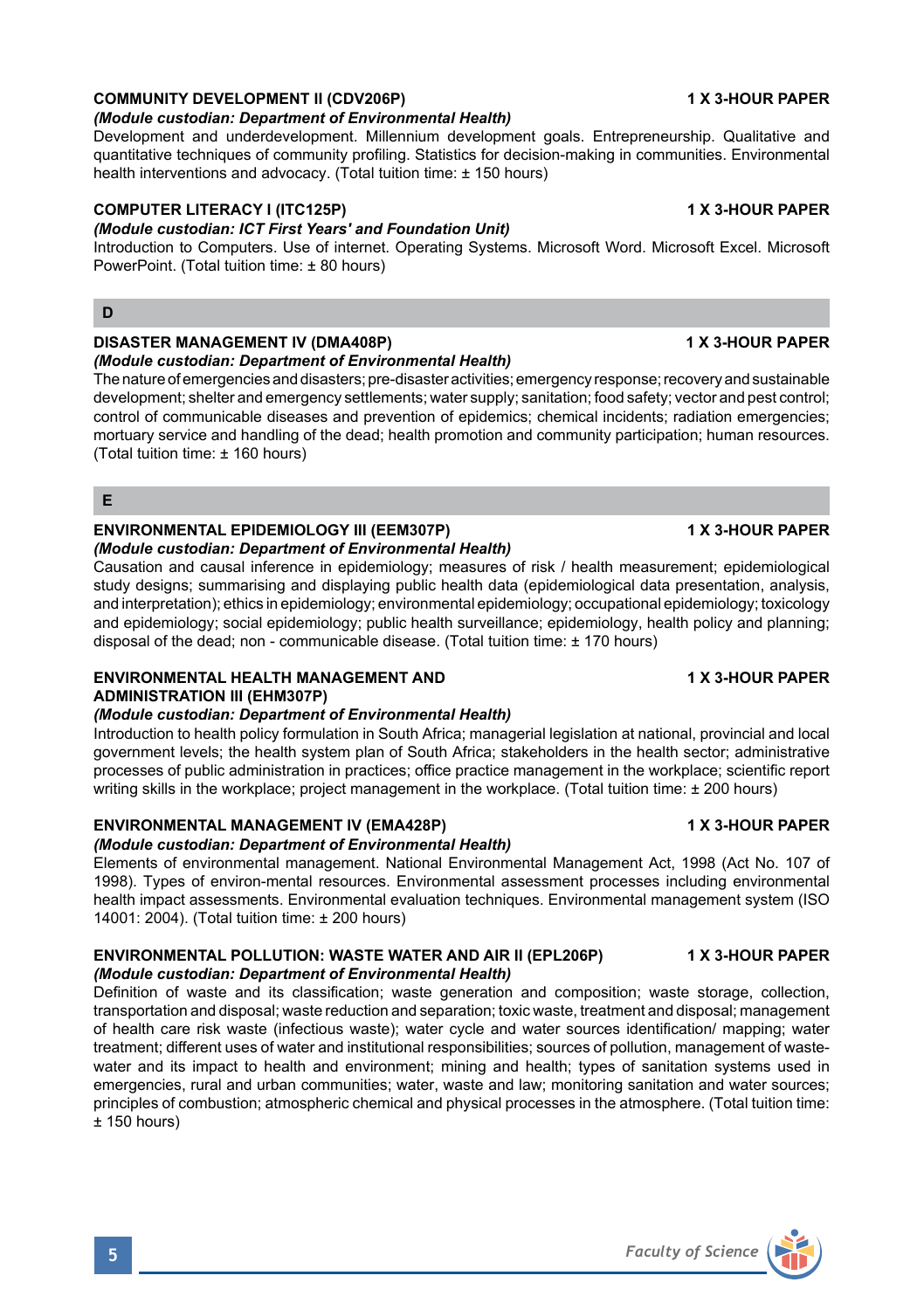# **COMMUNITY DEVELOPMENT II (CDV206P)** 1 X 3-HOUR PAPER

#### *(Module custodian: Department of Environmental Health)*

Development and underdevelopment. Millennium development goals. Entrepreneurship. Qualitative and quantitative techniques of community profiling. Statistics for decision-making in communities. Environmental health interventions and advocacy. (Total tuition time: ± 150 hours)

## **COMPUTER LITERACY I (ITC125P) 1 X 3-HOUR PAPER**

### *(Module custodian: ICT First Years' and Foundation Unit)*

Introduction to Computers. Use of internet. Operating Systems. Microsoft Word. Microsoft Excel. Microsoft PowerPoint. (Total tuition time: ± 80 hours)

### **D**

### **DISASTER MANAGEMENT IV (DMA408P) 1 X 3-HOUR PAPER**

*(Module custodian: Department of Environmental Health)*

The nature of emergencies and disasters; pre-disaster activities; emergency response; recovery and sustainable development; shelter and emergency settlements; water supply; sanitation; food safety; vector and pest control; control of communicable diseases and prevention of epidemics; chemical incidents; radiation emergencies; mortuary service and handling of the dead; health promotion and community participation; human resources. (Total tuition time: ± 160 hours)

**E**

# **ENVIRONMENTAL EPIDEMIOLOGY III (EEM307P) 1 X 3-HOUR PAPER**

*(Module custodian: Department of Environmental Health)* Causation and causal inference in epidemiology; measures of risk / health measurement; epidemiological

study designs; summarising and displaying public health data (epidemiological data presentation, analysis, and interpretation); ethics in epidemiology; environmental epidemiology; occupational epidemiology; toxicology and epidemiology; social epidemiology; public health surveillance; epidemiology, health policy and planning; disposal of the dead; non - communicable disease. (Total tuition time: ± 170 hours)

### **ENVIRONMENTAL HEALTH MANAGEMENT AND 1 X 3-HOUR PAPER ADMINISTRATION III (EHM307P)**

# *(Module custodian: Department of Environmental Health)*

Introduction to health policy formulation in South Africa; managerial legislation at national, provincial and local government levels; the health system plan of South Africa; stakeholders in the health sector; administrative processes of public administration in practices; office practice management in the workplace; scientific report writing skills in the workplace; project management in the workplace. (Total tuition time: ± 200 hours)

# **ENVIRONMENTAL MANAGEMENT IV (EMA428P) 1 X 3-HOUR PAPER**

# *(Module custodian: Department of Environmental Health)*

Elements of environmental management. National Environmental Management Act, 1998 (Act No. 107 of 1998). Types of environ-mental resources. Environmental assessment processes including environmental health impact assessments. Environmental evaluation techniques. Environmental management system (ISO 14001: 2004). (Total tuition time: ± 200 hours)

# **ENVIRONMENTAL POLLUTION: WASTE WATER AND AIR II (EPL206P) 1 X 3-HOUR PAPER**

# *(Module custodian: Department of Environmental Health)*

Definition of waste and its classification; waste generation and composition; waste storage, collection, transportation and disposal; waste reduction and separation; toxic waste, treatment and disposal; management of health care risk waste (infectious waste); water cycle and water sources identification/ mapping; water treatment; different uses of water and institutional responsibilities; sources of pollution, management of wastewater and its impact to health and environment; mining and health; types of sanitation systems used in emergencies, rural and urban communities; water, waste and law; monitoring sanitation and water sources; principles of combustion; atmospheric chemical and physical processes in the atmosphere. (Total tuition time:  $± 150$  hours)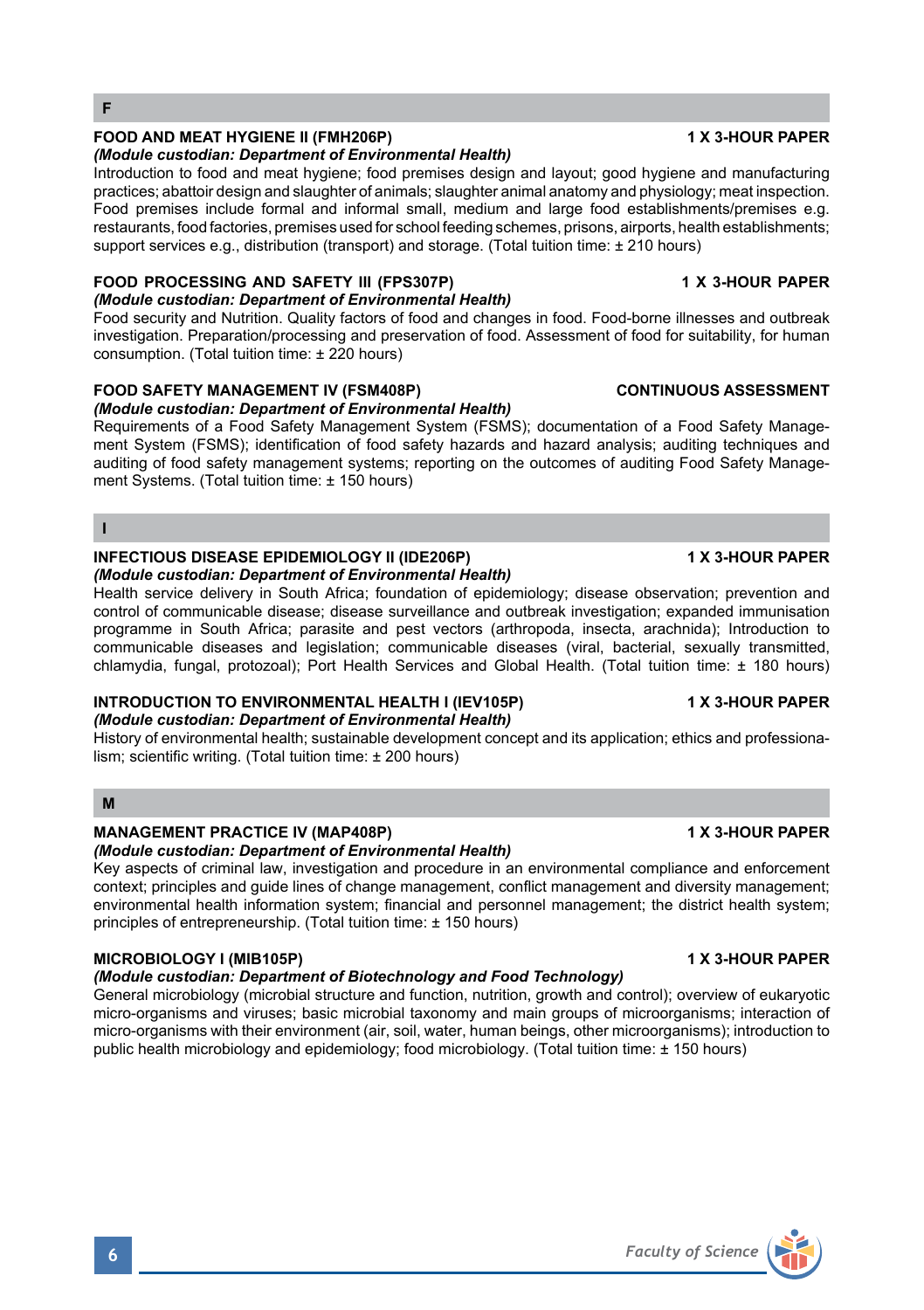**F**

# **FOOD AND MEAT HYGIENE II (FMH206P) 1 X 3-HOUR PAPER**

#### *(Module custodian: Department of Environmental Health)*

Introduction to food and meat hygiene; food premises design and layout; good hygiene and manufacturing practices; abattoir design and slaughter of animals; slaughter animal anatomy and physiology; meat inspection. Food premises include formal and informal small, medium and large food establishments/premises e.g. restaurants, food factories, premises used for school feeding schemes, prisons, airports, health establishments; support services e.g., distribution (transport) and storage. (Total tuition time: ± 210 hours)

# **FOOD PROCESSING AND SAFETY III (FPS307P) 1 X 3-HOUR PAPER**

# *(Module custodian: Department of Environmental Health)*

Food security and Nutrition. Quality factors of food and changes in food. Food-borne illnesses and outbreak investigation. Preparation/processing and preservation of food. Assessment of food for suitability, for human consumption. (Total tuition time: ± 220 hours)

# **FOOD SAFETY MANAGEMENT IV (FSM408P) CONTINUOUS ASSESSMENT**

### *(Module custodian: Department of Environmental Health)*

Requirements of a Food Safety Management System (FSMS); documentation of a Food Safety Management System (FSMS); identification of food safety hazards and hazard analysis; auditing techniques and auditing of food safety management systems; reporting on the outcomes of auditing Food Safety Management Systems. (Total tuition time: ± 150 hours)

### **I**

#### **INFECTIOUS DISEASE EPIDEMIOLOGY II (IDE206P) 1 X 3-HOUR PAPER** *(Module custodian: Department of Environmental Health)*

Health service delivery in South Africa; foundation of epidemiology; disease observation; prevention and control of communicable disease; disease surveillance and outbreak investigation; expanded immunisation programme in South Africa; parasite and pest vectors (arthropoda, insecta, arachnida); Introduction to communicable diseases and legislation; communicable diseases (viral, bacterial, sexually transmitted, chlamydia, fungal, protozoal); Port Health Services and Global Health. (Total tuition time: ± 180 hours)

# **INTRODUCTION TO ENVIRONMENTAL HEALTH I (IEV105P) 1 X 3-HOUR PAPER**

# *(Module custodian: Department of Environmental Health)*

History of environmental health; sustainable development concept and its application; ethics and professionalism; scientific writing. (Total tuition time: ± 200 hours)

# **M**

# **MANAGEMENT PRACTICE IV (MAP408P) 1 X 3-HOUR PAPER**

*(Module custodian: Department of Environmental Health)*

Key aspects of criminal law, investigation and procedure in an environmental compliance and enforcement context; principles and guide lines of change management, conflict management and diversity management; environmental health information system; financial and personnel management; the district health system; principles of entrepreneurship. (Total tuition time: ± 150 hours)

# **MICROBIOLOGY I (MIB105P) 1 X 3-HOUR PAPER**

# *(Module custodian: Department of Biotechnology and Food Technology)*

General microbiology (microbial structure and function, nutrition, growth and control); overview of eukaryotic micro-organisms and viruses; basic microbial taxonomy and main groups of microorganisms; interaction of micro-organisms with their environment (air, soil, water, human beings, other microorganisms); introduction to public health microbiology and epidemiology; food microbiology. (Total tuition time: ± 150 hours)

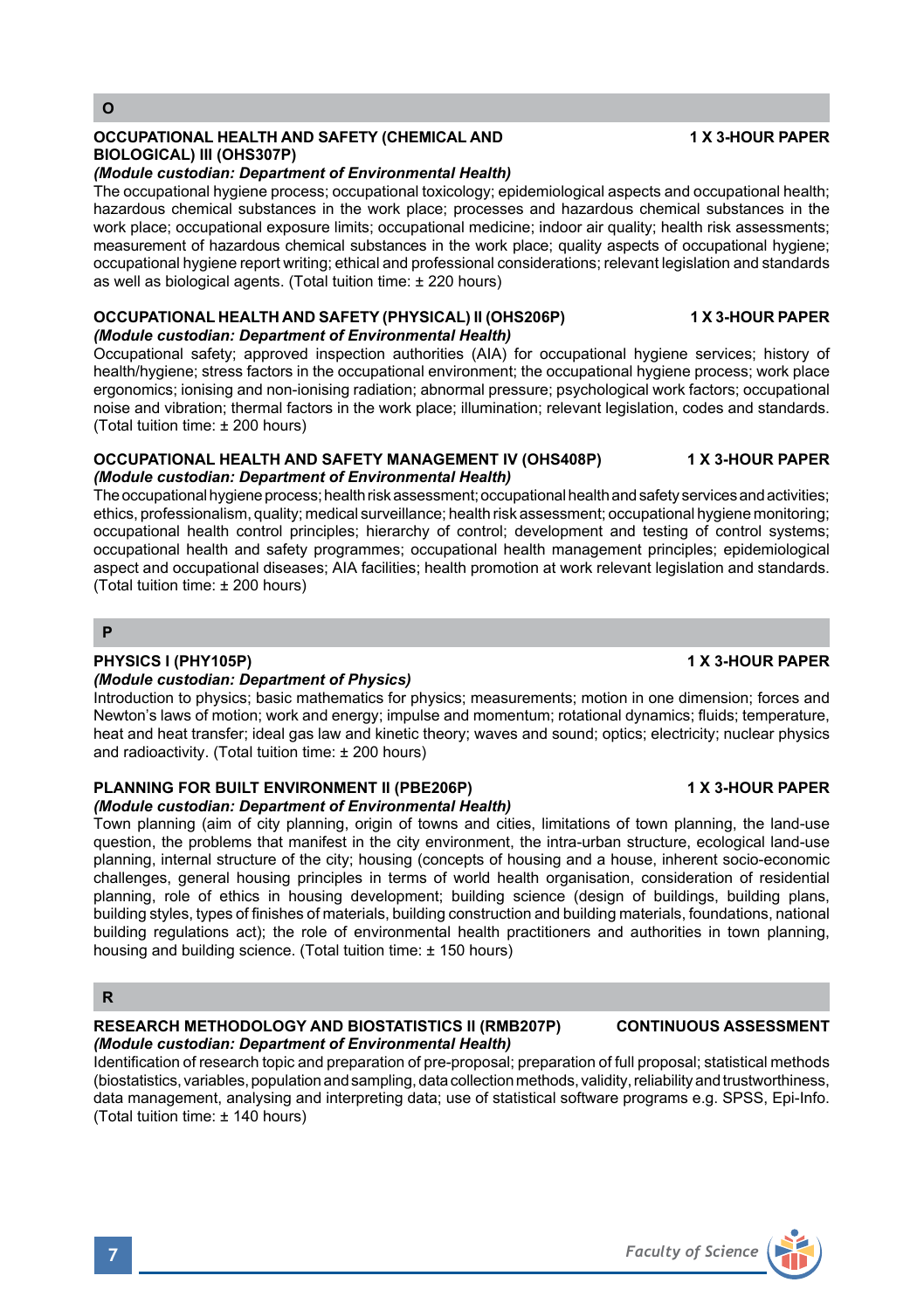# **O**

# **OCCUPATIONAL HEALTH AND SAFETY (CHEMICAL AND 1 X 3-HOUR PAPER BIOLOGICAL) III (OHS307P)**

# *(Module custodian: Department of Environmental Health)*

The occupational hygiene process; occupational toxicology; epidemiological aspects and occupational health; hazardous chemical substances in the work place; processes and hazardous chemical substances in the work place; occupational exposure limits; occupational medicine; indoor air quality; health risk assessments; measurement of hazardous chemical substances in the work place; quality aspects of occupational hygiene; occupational hygiene report writing; ethical and professional considerations; relevant legislation and standards as well as biological agents. (Total tuition time: ± 220 hours)

#### **OCCUPATIONAL HEALTH AND SAFETY (PHYSICAL) II (OHS206P) 1 X 3-HOUR PAPER** *(Module custodian: Department of Environmental Health)*

Occupational safety; approved inspection authorities (AIA) for occupational hygiene services; history of health/hygiene; stress factors in the occupational environment; the occupational hygiene process; work place ergonomics; ionising and non-ionising radiation; abnormal pressure; psychological work factors; occupational noise and vibration; thermal factors in the work place; illumination; relevant legislation, codes and standards. (Total tuition time: ± 200 hours)

### **OCCUPATIONAL HEALTH AND SAFETY MANAGEMENT IV (OHS408P) 1 X 3-HOUR PAPER** *(Module custodian: Department of Environmental Health)*

The occupational hygiene process; health risk assessment; occupational health and safety services and activities; ethics, professionalism, quality; medical surveillance; health risk assessment; occupational hygiene monitoring; occupational health control principles; hierarchy of control; development and testing of control systems; occupational health and safety programmes; occupational health management principles; epidemiological aspect and occupational diseases; AIA facilities; health promotion at work relevant legislation and standards. (Total tuition time: ± 200 hours)

# **P**

# **PHYSICS I (PHY105P) 1 X 3-HOUR PAPER**

# *(Module custodian: Department of Physics)*

Introduction to physics; basic mathematics for physics; measurements; motion in one dimension; forces and Newton's laws of motion; work and energy; impulse and momentum; rotational dynamics; fluids; temperature, heat and heat transfer; ideal gas law and kinetic theory; waves and sound; optics; electricity; nuclear physics and radioactivity. (Total tuition time: ± 200 hours)

### **PLANNING FOR BUILT ENVIRONMENT II (PBE206P) 1 X 3-HOUR PAPER** *(Module custodian: Department of Environmental Health)*

Town planning (aim of city planning, origin of towns and cities, limitations of town planning, the land-use question, the problems that manifest in the city environment, the intra-urban structure, ecological land-use planning, internal structure of the city; housing (concepts of housing and a house, inherent socio-economic challenges, general housing principles in terms of world health organisation, consideration of residential planning, role of ethics in housing development; building science (design of buildings, building plans, building styles, types of finishes of materials, building construction and building materials, foundations, national building regulations act); the role of environmental health practitioners and authorities in town planning, housing and building science. (Total tuition time: ± 150 hours)

# **R**

### **RESEARCH METHODOLOGY AND BIOSTATISTICS II (RMB207P) CONTINUOUS ASSESSMENT** *(Module custodian: Department of Environmental Health)*

Identification of research topic and preparation of pre-proposal; preparation of full proposal; statistical methods (biostatistics, variables, population and sampling, data collection methods, validity, reliability and trustworthiness, data management, analysing and interpreting data; use of statistical software programs e.g. SPSS, Epi-Info. (Total tuition time: ± 140 hours)